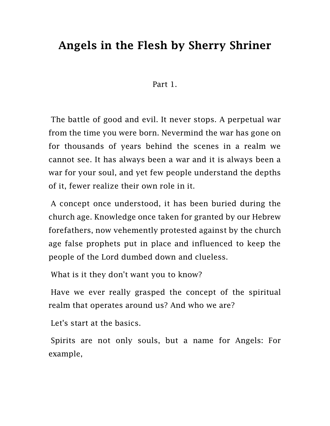## Angels in the Flesh by Sherry Shriner

## Part 1.

The battle of good and evil. It never stops. A perpetual war from the time you were born. Nevermind the war has gone on for thousands of years behind the scenes in a realm we cannot see. It has always been a war and it is always been a war for your soul, and yet few people understand the depths of it, fewer realize their own role in it.

A concept once understood, it has been buried during the church age. Knowledge once taken for granted by our Hebrew forefathers, now vehemently protested against by the church age false prophets put in place and influenced to keep the people of the Lord dumbed down and clueless.

What is it they don't want you to know?

Have we ever really grasped the concept of the spiritual realm that operates around us? And who we are?

Let's start at the basics.

Spirits are not only souls, but a name for Angels: For example,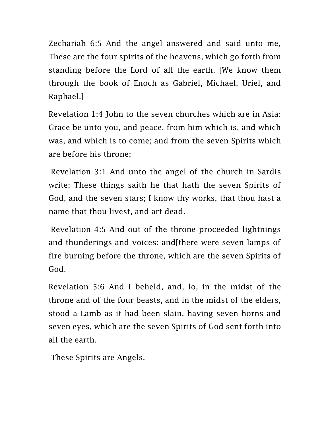Zechariah 6:5 And the angel answered and said unto me, These are the four spirits of the heavens, which go forth from standing before the Lord of all the earth. [We know them through the book of Enoch as Gabriel, Michael, Uriel, and Raphael.]

Revelation 1:4 John to the seven churches which are in Asia: Grace be unto you, and peace, from him which is, and which was, and which is to come; and from the seven Spirits which are before his throne;

Revelation 3:1 And unto the angel of the church in Sardis write; These things saith he that hath the seven Spirits of God, and the seven stars; I know thy works, that thou hast a name that thou livest, and art dead.

Revelation 4:5 And out of the throne proceeded lightnings and thunderings and voices: and[there were seven lamps of fire burning before the throne, which are the seven Spirits of God.

Revelation 5:6 And I beheld, and, lo, in the midst of the throne and of the four beasts, and in the midst of the elders, stood a Lamb as it had been slain, having seven horns and seven eyes, which are the seven Spirits of God sent forth into all the earth.

These Spirits are Angels.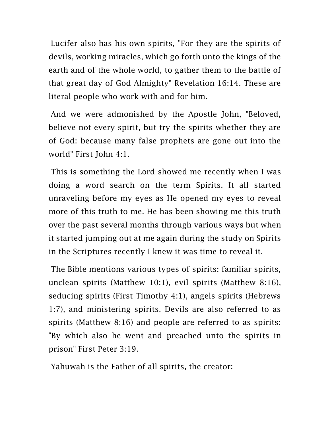Lucifer also has his own spirits, "For they are the spirits of devils, working miracles, which go forth unto the kings of the earth and of the whole world, to gather them to the battle of that great day of God Almighty" Revelation 16:14. These are literal people who work with and for him.

And we were admonished by the Apostle John, "Beloved, believe not every spirit, but try the spirits whether they are of God: because many false prophets are gone out into the world" First John 4:1.

This is something the Lord showed me recently when I was doing a word search on the term Spirits. It all started unraveling before my eyes as He opened my eyes to reveal more of this truth to me. He has been showing me this truth over the past several months through various ways but when it started jumping out at me again during the study on Spirits in the Scriptures recently I knew it was time to reveal it.

The Bible mentions various types of spirits: familiar spirits, unclean spirits (Matthew 10:1), evil spirits (Matthew 8:16), seducing spirits (First Timothy 4:1), angels spirits (Hebrews 1:7), and ministering spirits. Devils are also referred to as spirits (Matthew 8:16) and people are referred to as spirits: "By which also he went and preached unto the spirits in prison" First Peter 3:19.

Yahuwah is the Father of all spirits, the creator: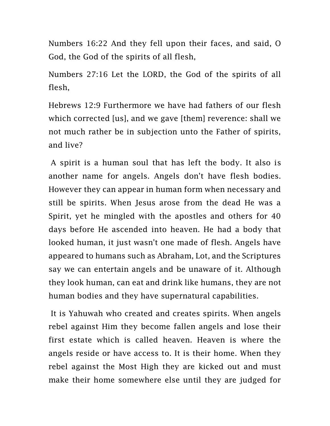Numbers 16:22 And they fell upon their faces, and said, O God, the God of the spirits of all flesh,

Numbers 27:16 Let the LORD, the God of the spirits of all flesh,

Hebrews 12:9 Furthermore we have had fathers of our flesh which corrected [us], and we gave [them] reverence: shall we not much rather be in subjection unto the Father of spirits, and live?

A spirit is a human soul that has left the body. It also is another name for angels. Angels don't have flesh bodies. However they can appear in human form when necessary and still be spirits. When Jesus arose from the dead He was a Spirit, yet he mingled with the apostles and others for 40 days before He ascended into heaven. He had a body that looked human, it just wasn't one made of flesh. Angels have appeared to humans such as Abraham, Lot, and the Scriptures say we can entertain angels and be unaware of it. Although they look human, can eat and drink like humans, they are not human bodies and they have supernatural capabilities.

It is Yahuwah who created and creates spirits. When angels rebel against Him they become fallen angels and lose their first estate which is called heaven. Heaven is where the angels reside or have access to. It is their home. When they rebel against the Most High they are kicked out and must make their home somewhere else until they are judged for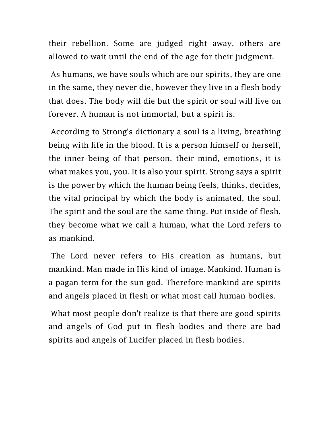their rebellion. Some are judged right away, others are allowed to wait until the end of the age for their judgment.

As humans, we have souls which are our spirits, they are one in the same, they never die, however they live in a flesh body that does. The body will die but the spirit or soul will live on forever. A human is not immortal, but a spirit is.

According to Strong's dictionary a soul is a living, breathing being with life in the blood. It is a person himself or herself, the inner being of that person, their mind, emotions, it is what makes you, you. It is also your spirit. Strong says a spirit is the power by which the human being feels, thinks, decides, the vital principal by which the body is animated, the soul. The spirit and the soul are the same thing. Put inside of flesh, they become what we call a human, what the Lord refers to as mankind.

The Lord never refers to His creation as humans, but mankind. Man made in His kind of image. Mankind. Human is a pagan term for the sun god. Therefore mankind are spirits and angels placed in flesh or what most call human bodies.

What most people don't realize is that there are good spirits and angels of God put in flesh bodies and there are bad spirits and angels of Lucifer placed in flesh bodies.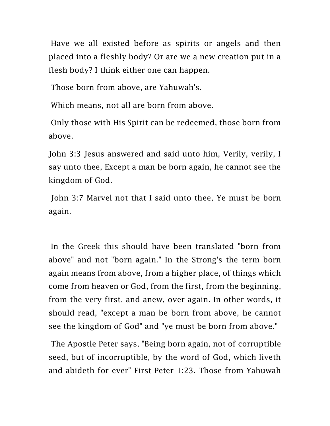Have we all existed before as spirits or angels and then placed into a fleshly body? Or are we a new creation put in a flesh body? I think either one can happen.

Those born from above, are Yahuwah's.

Which means, not all are born from above.

Only those with His Spirit can be redeemed, those born from above.

John 3:3 Jesus answered and said unto him, Verily, verily, I say unto thee, Except a man be born again, he cannot see the kingdom of God.

John 3:7 Marvel not that I said unto thee, Ye must be born again.

In the Greek this should have been translated "born from above" and not "born again." In the Strong's the term born again means from above, from a higher place, of things which come from heaven or God, from the first, from the beginning, from the very first, and anew, over again. In other words, it should read, "except a man be born from above, he cannot see the kingdom of God" and "ye must be born from above."

The Apostle Peter says, "Being born again, not of corruptible seed, but of incorruptible, by the word of God, which liveth and abideth for ever" First Peter 1:23. Those from Yahuwah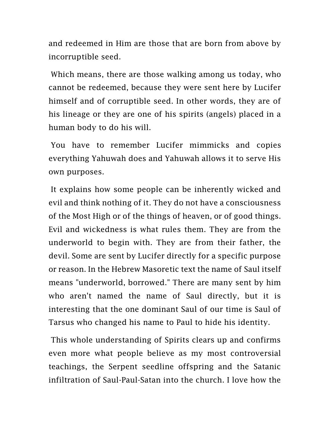and redeemed in Him are those that are born from above by incorruptible seed.

Which means, there are those walking among us today, who cannot be redeemed, because they were sent here by Lucifer himself and of corruptible seed. In other words, they are of his lineage or they are one of his spirits (angels) placed in a human body to do his will.

You have to remember Lucifer mimmicks and copies everything Yahuwah does and Yahuwah allows it to serve His own purposes.

It explains how some people can be inherently wicked and evil and think nothing of it. They do not have a consciousness of the Most High or of the things of heaven, or of good things. Evil and wickedness is what rules them. They are from the underworld to begin with. They are from their father, the devil. Some are sent by Lucifer directly for a specific purpose or reason. In the Hebrew Masoretic text the name of Saul itself means "underworld, borrowed." There are many sent by him who aren't named the name of Saul directly, but it is interesting that the one dominant Saul of our time is Saul of Tarsus who changed his name to Paul to hide his identity.

This whole understanding of Spirits clears up and confirms even more what people believe as my most controversial teachings, the Serpent seedline offspring and the Satanic infiltration of Saul-Paul-Satan into the church. I love how the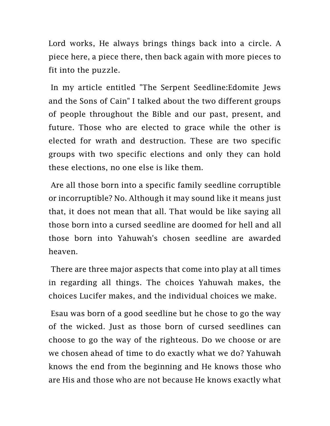Lord works, He always brings things back into a circle. A piece here, a piece there, then back again with more pieces to fit into the puzzle.

In my article entitled "The Serpent Seedline:Edomite Jews and the Sons of Cain" I talked about the two different groups of people throughout the Bible and our past, present, and future. Those who are elected to grace while the other is elected for wrath and destruction. These are two specific groups with two specific elections and only they can hold these elections, no one else is like them.

Are all those born into a specific family seedline corruptible or incorruptible? No. Although it may sound like it means just that, it does not mean that all. That would be like saying all those born into a cursed seedline are doomed for hell and all those born into Yahuwah's chosen seedline are awarded heaven.

There are three major aspects that come into play at all times in regarding all things. The choices Yahuwah makes, the choices Lucifer makes, and the individual choices we make.

Esau was born of a good seedline but he chose to go the way of the wicked. Just as those born of cursed seedlines can choose to go the way of the righteous. Do we choose or are we chosen ahead of time to do exactly what we do? Yahuwah knows the end from the beginning and He knows those who are His and those who are not because He knows exactly what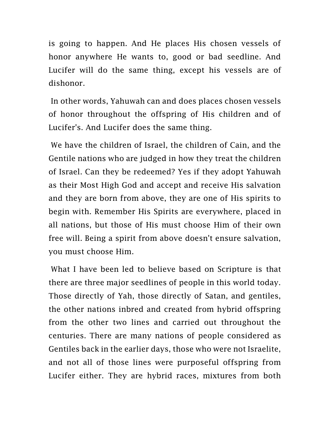is going to happen. And He places His chosen vessels of honor anywhere He wants to, good or bad seedline. And Lucifer will do the same thing, except his vessels are of dishonor.

In other words, Yahuwah can and does places chosen vessels of honor throughout the offspring of His children and of Lucifer's. And Lucifer does the same thing.

We have the children of Israel, the children of Cain, and the Gentile nations who are judged in how they treat the children of Israel. Can they be redeemed? Yes if they adopt Yahuwah as their Most High God and accept and receive His salvation and they are born from above, they are one of His spirits to begin with. Remember His Spirits are everywhere, placed in all nations, but those of His must choose Him of their own free will. Being a spirit from above doesn't ensure salvation, you must choose Him.

What I have been led to believe based on Scripture is that there are three major seedlines of people in this world today. Those directly of Yah, those directly of Satan, and gentiles, the other nations inbred and created from hybrid offspring from the other two lines and carried out throughout the centuries. There are many nations of people considered as Gentiles back in the earlier days, those who were not Israelite, and not all of those lines were purposeful offspring from Lucifer either. They are hybrid races, mixtures from both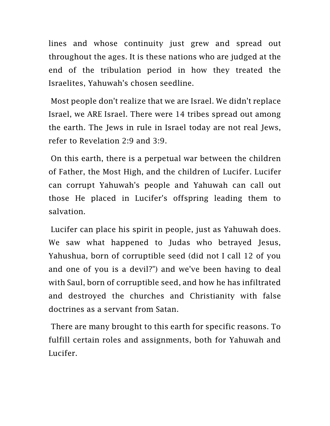lines and whose continuity just grew and spread out throughout the ages. It is these nations who are judged at the end of the tribulation period in how they treated the Israelites, Yahuwah's chosen seedline.

Most people don't realize that we are Israel. We didn't replace Israel, we ARE Israel. There were 14 tribes spread out among the earth. The Jews in rule in Israel today are not real Jews, refer to Revelation 2:9 and 3:9.

On this earth, there is a perpetual war between the children of Father, the Most High, and the children of Lucifer. Lucifer can corrupt Yahuwah's people and Yahuwah can call out those He placed in Lucifer's offspring leading them to salvation.

Lucifer can place his spirit in people, just as Yahuwah does. We saw what happened to Judas who betrayed Jesus, Yahushua, born of corruptible seed (did not I call 12 of you and one of you is a devil?") and we've been having to deal with Saul, born of corruptible seed, and how he has infiltrated and destroyed the churches and Christianity with false doctrines as a servant from Satan.

There are many brought to this earth for specific reasons. To fulfill certain roles and assignments, both for Yahuwah and Lucifer.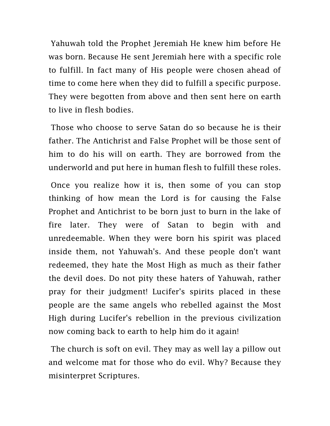Yahuwah told the Prophet Jeremiah He knew him before He was born. Because He sent Jeremiah here with a specific role to fulfill. In fact many of His people were chosen ahead of time to come here when they did to fulfill a specific purpose. They were begotten from above and then sent here on earth to live in flesh bodies.

Those who choose to serve Satan do so because he is their father. The Antichrist and False Prophet will be those sent of him to do his will on earth. They are borrowed from the underworld and put here in human flesh to fulfill these roles.

Once you realize how it is, then some of you can stop thinking of how mean the Lord is for causing the False Prophet and Antichrist to be born just to burn in the lake of fire later. They were of Satan to begin with and unredeemable. When they were born his spirit was placed inside them, not Yahuwah's. And these people don't want redeemed, they hate the Most High as much as their father the devil does. Do not pity these haters of Yahuwah, rather pray for their judgment! Lucifer's spirits placed in these people are the same angels who rebelled against the Most High during Lucifer's rebellion in the previous civilization now coming back to earth to help him do it again!

The church is soft on evil. They may as well lay a pillow out and welcome mat for those who do evil. Why? Because they misinterpret Scriptures.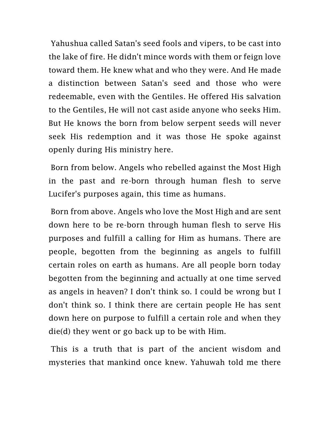Yahushua called Satan's seed fools and vipers, to be cast into the lake of fire. He didn't mince words with them or feign love toward them. He knew what and who they were. And He made a distinction between Satan's seed and those who were redeemable, even with the Gentiles. He offered His salvation to the Gentiles, He will not cast aside anyone who seeks Him. But He knows the born from below serpent seeds will never seek His redemption and it was those He spoke against openly during His ministry here.

Born from below. Angels who rebelled against the Most High in the past and re-born through human flesh to serve Lucifer's purposes again, this time as humans.

Born from above. Angels who love the Most High and are sent down here to be re-born through human flesh to serve His purposes and fulfill a calling for Him as humans. There are people, begotten from the beginning as angels to fulfill certain roles on earth as humans. Are all people born today begotten from the beginning and actually at one time served as angels in heaven? I don't think so. I could be wrong but I don't think so. I think there are certain people He has sent down here on purpose to fulfill a certain role and when they die(d) they went or go back up to be with Him.

This is a truth that is part of the ancient wisdom and mysteries that mankind once knew. Yahuwah told me there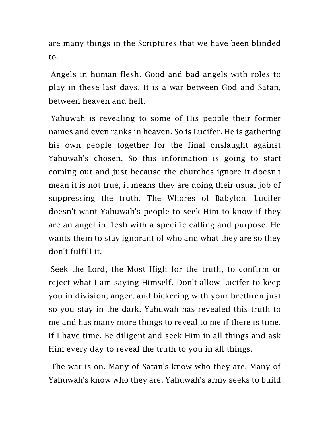are many things in the Scriptures that we have been blinded to.

Angels in human flesh. Good and bad angels with roles to play in these last days. It is a war between God and Satan, between heaven and hell.

Yahuwah is revealing to some of His people their former names and even ranks in heaven. So is Lucifer. He is gathering his own people together for the final onslaught against Yahuwah's chosen. So this information is going to start coming out and just because the churches ignore it doesn't mean it is not true, it means they are doing their usual job of suppressing the truth. The Whores of Babylon. Lucifer doesn't want Yahuwah's people to seek Him to know if they are an angel in flesh with a specific calling and purpose. He wants them to stay ignorant of who and what they are so they don't fulfill it.

Seek the Lord, the Most High for the truth, to confirm or reject what I am saying Himself. Don't allow Lucifer to keep you in division, anger, and bickering with your brethren just so you stay in the dark. Yahuwah has revealed this truth to me and has many more things to reveal to me if there is time. If I have time. Be diligent and seek Him in all things and ask Him every day to reveal the truth to you in all things.

The war is on. Many of Satan's know who they are. Many of Yahuwah's know who they are. Yahuwah's army seeks to build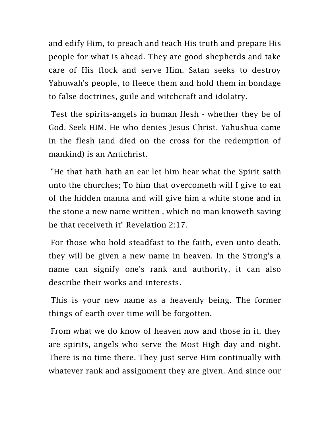and edify Him, to preach and teach His truth and prepare His people for what is ahead. They are good shepherds and take care of His flock and serve Him. Satan seeks to destroy Yahuwah's people, to fleece them and hold them in bondage to false doctrines, guile and witchcraft and idolatry.

Test the spirits-angels in human flesh - whether they be of God. Seek HIM. He who denies Jesus Christ, Yahushua came in the flesh (and died on the cross for the redemption of mankind) is an Antichrist.

"He that hath hath an ear let him hear what the Spirit saith unto the churches; To him that overcometh will I give to eat of the hidden manna and will give him a white stone and in the stone a new name written , which no man knoweth saving he that receiveth it" Revelation 2:17.

For those who hold steadfast to the faith, even unto death, they will be given a new name in heaven. In the Strong's a name can signify one's rank and authority, it can also describe their works and interests.

This is your new name as a heavenly being. The former things of earth over time will be forgotten.

From what we do know of heaven now and those in it, they are spirits, angels who serve the Most High day and night. There is no time there. They just serve Him continually with whatever rank and assignment they are given. And since our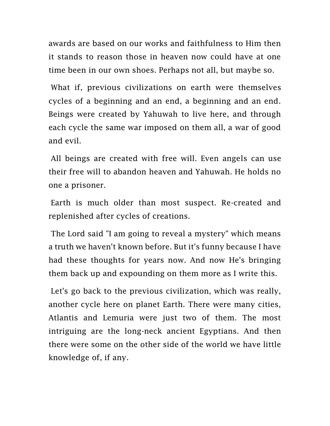awards are based on our works and faithfulness to Him then it stands to reason those in heaven now could have at one time been in our own shoes. Perhaps not all, but maybe so.

What if, previous civilizations on earth were themselves cycles of a beginning and an end, a beginning and an end. Beings were created by Yahuwah to live here, and through each cycle the same war imposed on them all, a war of good and evil.

All beings are created with free will. Even angels can use their free will to abandon heaven and Yahuwah. He holds no one a prisoner.

Earth is much older than most suspect. Re-created and replenished after cycles of creations.

The Lord said "I am going to reveal a mystery" which means a truth we haven't known before. But it's funny because I have had these thoughts for years now. And now He's bringing them back up and expounding on them more as I write this.

Let's go back to the previous civilization, which was really, another cycle here on planet Earth. There were many cities, Atlantis and Lemuria were just two of them. The most intriguing are the long-neck ancient Egyptians. And then there were some on the other side of the world we have little knowledge of, if any.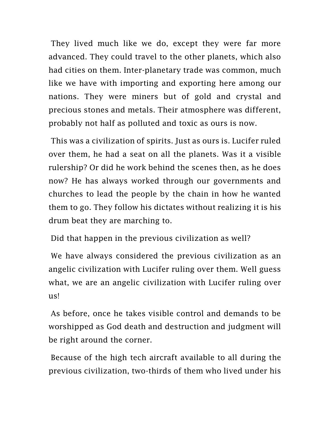They lived much like we do, except they were far more advanced. They could travel to the other planets, which also had cities on them. Inter-planetary trade was common, much like we have with importing and exporting here among our nations. They were miners but of gold and crystal and precious stones and metals. Their atmosphere was different, probably not half as polluted and toxic as ours is now.

This was a civilization of spirits. Just as ours is. Lucifer ruled over them, he had a seat on all the planets. Was it a visible rulership? Or did he work behind the scenes then, as he does now? He has always worked through our governments and churches to lead the people by the chain in how he wanted them to go. They follow his dictates without realizing it is his drum beat they are marching to.

Did that happen in the previous civilization as well?

We have always considered the previous civilization as an angelic civilization with Lucifer ruling over them. Well guess what, we are an angelic civilization with Lucifer ruling over us!

As before, once he takes visible control and demands to be worshipped as God death and destruction and judgment will be right around the corner.

Because of the high tech aircraft available to all during the previous civilization, two-thirds of them who lived under his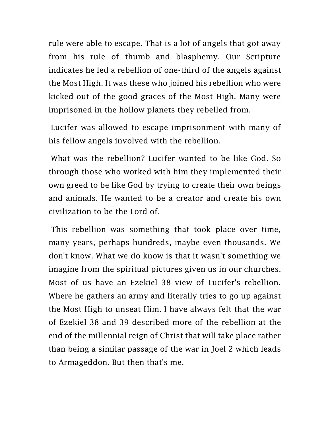rule were able to escape. That is a lot of angels that got away from his rule of thumb and blasphemy. Our Scripture indicates he led a rebellion of one-third of the angels against the Most High. It was these who joined his rebellion who were kicked out of the good graces of the Most High. Many were imprisoned in the hollow planets they rebelled from.

Lucifer was allowed to escape imprisonment with many of his fellow angels involved with the rebellion.

What was the rebellion? Lucifer wanted to be like God. So through those who worked with him they implemented their own greed to be like God by trying to create their own beings and animals. He wanted to be a creator and create his own civilization to be the Lord of.

This rebellion was something that took place over time, many years, perhaps hundreds, maybe even thousands. We don't know. What we do know is that it wasn't something we imagine from the spiritual pictures given us in our churches. Most of us have an Ezekiel 38 view of Lucifer's rebellion. Where he gathers an army and literally tries to go up against the Most High to unseat Him. I have always felt that the war of Ezekiel 38 and 39 described more of the rebellion at the end of the millennial reign of Christ that will take place rather than being a similar passage of the war in Joel 2 which leads to Armageddon. But then that's me.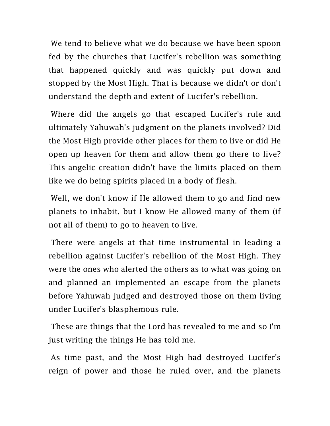We tend to believe what we do because we have been spoon fed by the churches that Lucifer's rebellion was something that happened quickly and was quickly put down and stopped by the Most High. That is because we didn't or don't understand the depth and extent of Lucifer's rebellion.

Where did the angels go that escaped Lucifer's rule and ultimately Yahuwah's judgment on the planets involved? Did the Most High provide other places for them to live or did He open up heaven for them and allow them go there to live? This angelic creation didn't have the limits placed on them like we do being spirits placed in a body of flesh.

Well, we don't know if He allowed them to go and find new planets to inhabit, but I know He allowed many of them (if not all of them) to go to heaven to live.

There were angels at that time instrumental in leading a rebellion against Lucifer's rebellion of the Most High. They were the ones who alerted the others as to what was going on and planned an implemented an escape from the planets before Yahuwah judged and destroyed those on them living under Lucifer's blasphemous rule.

These are things that the Lord has revealed to me and so I'm just writing the things He has told me.

As time past, and the Most High had destroyed Lucifer's reign of power and those he ruled over, and the planets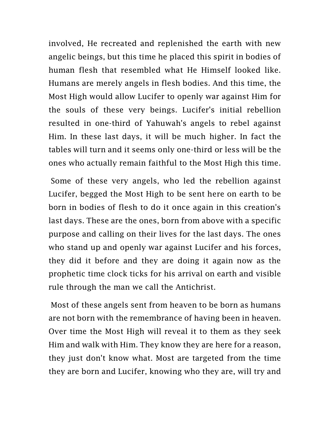involved, He recreated and replenished the earth with new angelic beings, but this time he placed this spirit in bodies of human flesh that resembled what He Himself looked like. Humans are merely angels in flesh bodies. And this time, the Most High would allow Lucifer to openly war against Him for the souls of these very beings. Lucifer's initial rebellion resulted in one-third of Yahuwah's angels to rebel against Him. In these last days, it will be much higher. In fact the tables will turn and it seems only one-third or less will be the ones who actually remain faithful to the Most High this time.

Some of these very angels, who led the rebellion against Lucifer, begged the Most High to be sent here on earth to be born in bodies of flesh to do it once again in this creation's last days. These are the ones, born from above with a specific purpose and calling on their lives for the last days. The ones who stand up and openly war against Lucifer and his forces, they did it before and they are doing it again now as the prophetic time clock ticks for his arrival on earth and visible rule through the man we call the Antichrist.

Most of these angels sent from heaven to be born as humans are not born with the remembrance of having been in heaven. Over time the Most High will reveal it to them as they seek Him and walk with Him. They know they are here for a reason, they just don't know what. Most are targeted from the time they are born and Lucifer, knowing who they are, will try and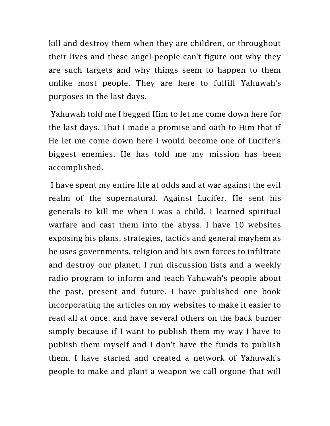kill and destroy them when they are children, or throughout their lives and these angel-people can't figure out why they are such targets and why things seem to happen to them unlike most people. They are here to fulfill Yahuwah's purposes in the last days.

Yahuwah told me I begged Him to let me come down here for the last days. That I made a promise and oath to Him that if He let me come down here I would become one of Lucifer's biggest enemies. He has told me my mission has been accomplished.

I have spent my entire life at odds and at war against the evil realm of the supernatural. Against Lucifer. He sent his generals to kill me when I was a child, I learned spiritual warfare and cast them into the abyss. I have 10 websites exposing his plans, strategies, tactics and general mayhem as he uses governments, religion and his own forces to infiltrate and destroy our planet. I run discussion lists and a weekly radio program to inform and teach Yahuwah's people about the past, present and future. I have published one book incorporating the articles on my websites to make it easier to read all at once, and have several others on the back burner simply because if I want to publish them my way I have to publish them myself and I don't have the funds to publish them. I have started and created a network of Yahuwah's people to make and plant a weapon we call orgone that will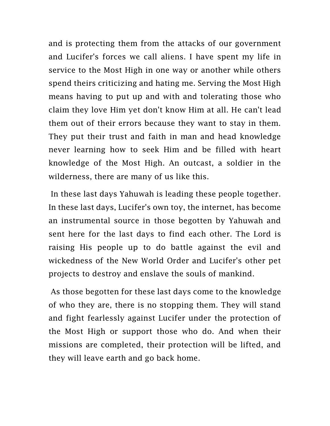and is protecting them from the attacks of our government and Lucifer's forces we call aliens. I have spent my life in service to the Most High in one way or another while others spend theirs criticizing and hating me. Serving the Most High means having to put up and with and tolerating those who claim they love Him yet don't know Him at all. He can't lead them out of their errors because they want to stay in them. They put their trust and faith in man and head knowledge never learning how to seek Him and be filled with heart knowledge of the Most High. An outcast, a soldier in the wilderness, there are many of us like this.

In these last days Yahuwah is leading these people together. In these last days, Lucifer's own toy, the internet, has become an instrumental source in those begotten by Yahuwah and sent here for the last days to find each other. The Lord is raising His people up to do battle against the evil and wickedness of the New World Order and Lucifer's other pet projects to destroy and enslave the souls of mankind.

As those begotten for these last days come to the knowledge of who they are, there is no stopping them. They will stand and fight fearlessly against Lucifer under the protection of the Most High or support those who do. And when their missions are completed, their protection will be lifted, and they will leave earth and go back home.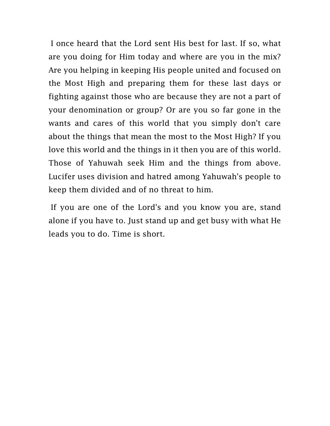I once heard that the Lord sent His best for last. If so, what are you doing for Him today and where are you in the mix? Are you helping in keeping His people united and focused on the Most High and preparing them for these last days or fighting against those who are because they are not a part of your denomination or group? Or are you so far gone in the wants and cares of this world that you simply don't care about the things that mean the most to the Most High? If you love this world and the things in it then you are of this world. Those of Yahuwah seek Him and the things from above. Lucifer uses division and hatred among Yahuwah's people to keep them divided and of no threat to him.

If you are one of the Lord's and you know you are, stand alone if you have to. Just stand up and get busy with what He leads you to do. Time is short.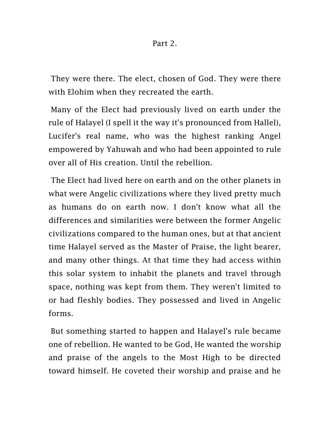They were there. The elect, chosen of God. They were there with Elohim when they recreated the earth.

Many of the Elect had previously lived on earth under the rule of Halayel (I spell it the way it's pronounced from Hallel), Lucifer's real name, who was the highest ranking Angel empowered by Yahuwah and who had been appointed to rule over all of His creation. Until the rebellion.

The Elect had lived here on earth and on the other planets in what were Angelic civilizations where they lived pretty much as humans do on earth now. I don't know what all the differences and similarities were between the former Angelic civilizations compared to the human ones, but at that ancient time Halayel served as the Master of Praise, the light bearer, and many other things. At that time they had access within this solar system to inhabit the planets and travel through space, nothing was kept from them. They weren't limited to or had fleshly bodies. They possessed and lived in Angelic forms.

But something started to happen and Halayel's rule became one of rebellion. He wanted to be God, He wanted the worship and praise of the angels to the Most High to be directed toward himself. He coveted their worship and praise and he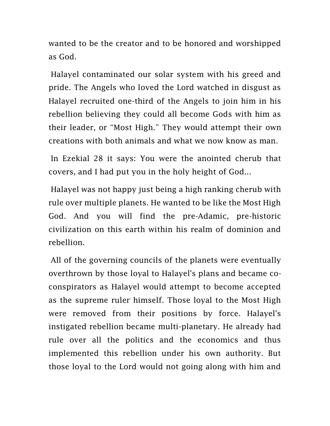wanted to be the creator and to be honored and worshipped as God.

Halayel contaminated our solar system with his greed and pride. The Angels who loved the Lord watched in disgust as Halayel recruited one-third of the Angels to join him in his rebellion believing they could all become Gods with him as their leader, or "Most High." They would attempt their own creations with both animals and what we now know as man.

In Ezekial 28 it says: You were the anointed cherub that covers, and I had put you in the holy height of God...

Halayel was not happy just being a high ranking cherub with rule over multiple planets. He wanted to be like the Most High God. And you will find the pre-Adamic, pre-historic civilization on this earth within his realm of dominion and rebellion.

All of the governing councils of the planets were eventually overthrown by those loyal to Halayel's plans and became coconspirators as Halayel would attempt to become accepted as the supreme ruler himself. Those loyal to the Most High were removed from their positions by force. Halayel's instigated rebellion became multi-planetary. He already had rule over all the politics and the economics and thus implemented this rebellion under his own authority. But those loyal to the Lord would not going along with him and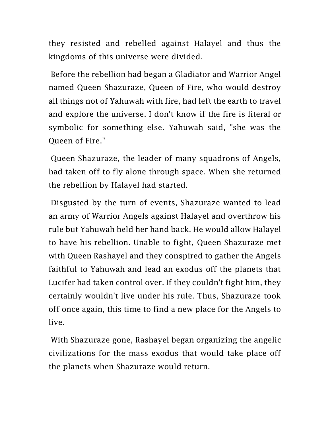they resisted and rebelled against Halayel and thus the kingdoms of this universe were divided.

Before the rebellion had began a Gladiator and Warrior Angel named Queen Shazuraze, Queen of Fire, who would destroy all things not of Yahuwah with fire, had left the earth to travel and explore the universe. I don't know if the fire is literal or symbolic for something else. Yahuwah said, "she was the Queen of Fire."

Queen Shazuraze, the leader of many squadrons of Angels, had taken off to fly alone through space. When she returned the rebellion by Halayel had started.

Disgusted by the turn of events, Shazuraze wanted to lead an army of Warrior Angels against Halayel and overthrow his rule but Yahuwah held her hand back. He would allow Halayel to have his rebellion. Unable to fight, Queen Shazuraze met with Queen Rashayel and they conspired to gather the Angels faithful to Yahuwah and lead an exodus off the planets that Lucifer had taken control over. If they couldn't fight him, they certainly wouldn't live under his rule. Thus, Shazuraze took off once again, this time to find a new place for the Angels to live.

With Shazuraze gone, Rashayel began organizing the angelic civilizations for the mass exodus that would take place off the planets when Shazuraze would return.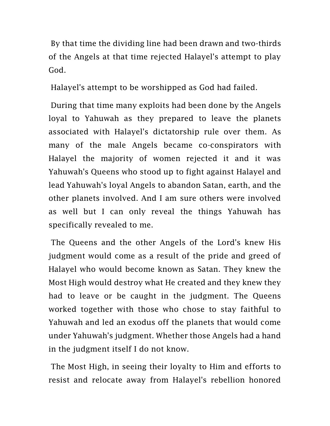By that time the dividing line had been drawn and two-thirds of the Angels at that time rejected Halayel's attempt to play God.

Halayel's attempt to be worshipped as God had failed.

During that time many exploits had been done by the Angels loyal to Yahuwah as they prepared to leave the planets associated with Halayel's dictatorship rule over them. As many of the male Angels became co-conspirators with Halayel the majority of women rejected it and it was Yahuwah's Queens who stood up to fight against Halayel and lead Yahuwah's loyal Angels to abandon Satan, earth, and the other planets involved. And I am sure others were involved as well but I can only reveal the things Yahuwah has specifically revealed to me.

The Queens and the other Angels of the Lord's knew His judgment would come as a result of the pride and greed of Halayel who would become known as Satan. They knew the Most High would destroy what He created and they knew they had to leave or be caught in the judgment. The Queens worked together with those who chose to stay faithful to Yahuwah and led an exodus off the planets that would come under Yahuwah's judgment. Whether those Angels had a hand in the judgment itself I do not know.

The Most High, in seeing their loyalty to Him and efforts to resist and relocate away from Halayel's rebellion honored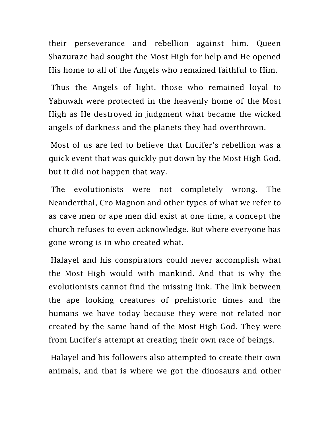their perseverance and rebellion against him. Queen Shazuraze had sought the Most High for help and He opened His home to all of the Angels who remained faithful to Him.

Thus the Angels of light, those who remained loyal to Yahuwah were protected in the heavenly home of the Most High as He destroyed in judgment what became the wicked angels of darkness and the planets they had overthrown.

Most of us are led to believe that Lucifer's rebellion was a quick event that was quickly put down by the Most High God, but it did not happen that way.

The evolutionists were not completely wrong. The Neanderthal, Cro Magnon and other types of what we refer to as cave men or ape men did exist at one time, a concept the church refuses to even acknowledge. But where everyone has gone wrong is in who created what.

Halayel and his conspirators could never accomplish what the Most High would with mankind. And that is why the evolutionists cannot find the missing link. The link between the ape looking creatures of prehistoric times and the humans we have today because they were not related nor created by the same hand of the Most High God. They were from Lucifer's attempt at creating their own race of beings.

Halayel and his followers also attempted to create their own animals, and that is where we got the dinosaurs and other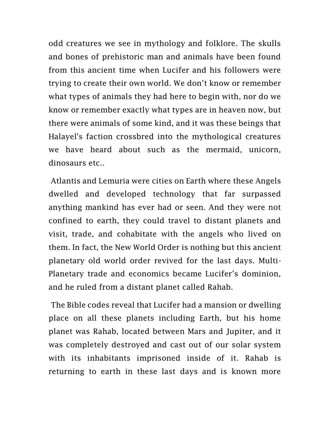odd creatures we see in mythology and folklore. The skulls and bones of prehistoric man and animals have been found from this ancient time when Lucifer and his followers were trying to create their own world. We don't know or remember what types of animals they had here to begin with, nor do we know or remember exactly what types are in heaven now, but there were animals of some kind, and it was these beings that Halayel's faction crossbred into the mythological creatures we have heard about such as the mermaid, unicorn, dinosaurs etc..

Atlantis and Lemuria were cities on Earth where these Angels dwelled and developed technology that far surpassed anything mankind has ever had or seen. And they were not confined to earth, they could travel to distant planets and visit, trade, and cohabitate with the angels who lived on them. In fact, the New World Order is nothing but this ancient planetary old world order revived for the last days. Multi-Planetary trade and economics became Lucifer's dominion, and he ruled from a distant planet called Rahab.

The Bible codes reveal that Lucifer had a mansion or dwelling place on all these planets including Earth, but his home planet was Rahab, located between Mars and Jupiter, and it was completely destroyed and cast out of our solar system with its inhabitants imprisoned inside of it. Rahab is returning to earth in these last days and is known more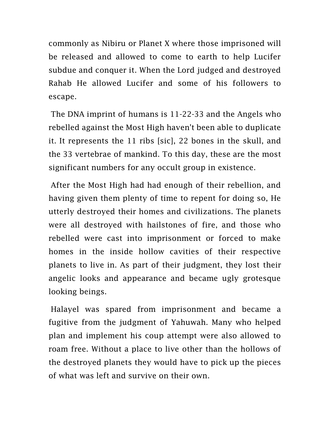commonly as Nibiru or Planet X where those imprisoned will be released and allowed to come to earth to help Lucifer subdue and conquer it. When the Lord judged and destroyed Rahab He allowed Lucifer and some of his followers to escape.

The DNA imprint of humans is 11-22-33 and the Angels who rebelled against the Most High haven't been able to duplicate it. It represents the 11 ribs [sic], 22 bones in the skull, and the 33 vertebrae of mankind. To this day, these are the most significant numbers for any occult group in existence.

After the Most High had had enough of their rebellion, and having given them plenty of time to repent for doing so, He utterly destroyed their homes and civilizations. The planets were all destroyed with hailstones of fire, and those who rebelled were cast into imprisonment or forced to make homes in the inside hollow cavities of their respective planets to live in. As part of their judgment, they lost their angelic looks and appearance and became ugly grotesque looking beings.

Halayel was spared from imprisonment and became a fugitive from the judgment of Yahuwah. Many who helped plan and implement his coup attempt were also allowed to roam free. Without a place to live other than the hollows of the destroyed planets they would have to pick up the pieces of what was left and survive on their own.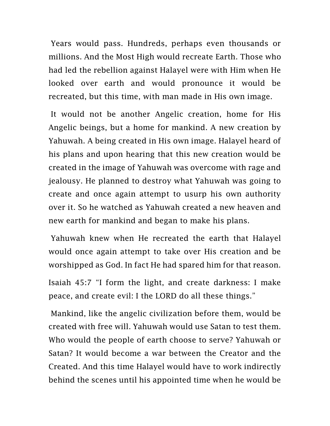Years would pass. Hundreds, perhaps even thousands or millions. And the Most High would recreate Earth. Those who had led the rebellion against Halayel were with Him when He looked over earth and would pronounce it would be recreated, but this time, with man made in His own image.

It would not be another Angelic creation, home for His Angelic beings, but a home for mankind. A new creation by Yahuwah. A being created in His own image. Halayel heard of his plans and upon hearing that this new creation would be created in the image of Yahuwah was overcome with rage and jealousy. He planned to destroy what Yahuwah was going to create and once again attempt to usurp his own authority over it. So he watched as Yahuwah created a new heaven and new earth for mankind and began to make his plans.

Yahuwah knew when He recreated the earth that Halayel would once again attempt to take over His creation and be worshipped as God. In fact He had spared him for that reason.

Isaiah 45:7 "I form the light, and create darkness: I make peace, and create evil: I the LORD do all these things."

Mankind, like the angelic civilization before them, would be created with free will. Yahuwah would use Satan to test them. Who would the people of earth choose to serve? Yahuwah or Satan? It would become a war between the Creator and the Created. And this time Halayel would have to work indirectly behind the scenes until his appointed time when he would be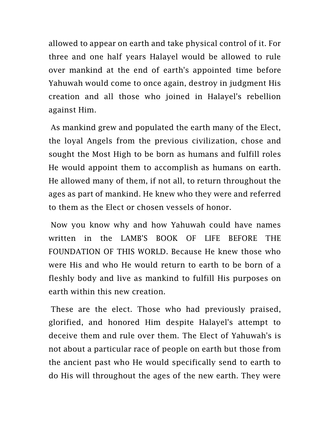allowed to appear on earth and take physical control of it. For three and one half years Halayel would be allowed to rule over mankind at the end of earth's appointed time before Yahuwah would come to once again, destroy in judgment His creation and all those who joined in Halayel's rebellion against Him.

As mankind grew and populated the earth many of the Elect, the loyal Angels from the previous civilization, chose and sought the Most High to be born as humans and fulfill roles He would appoint them to accomplish as humans on earth. He allowed many of them, if not all, to return throughout the ages as part of mankind. He knew who they were and referred to them as the Elect or chosen vessels of honor.

Now you know why and how Yahuwah could have names written in the LAMB'S BOOK OF LIFE BEFORE THE FOUNDATION OF THIS WORLD. Because He knew those who were His and who He would return to earth to be born of a fleshly body and live as mankind to fulfill His purposes on earth within this new creation.

These are the elect. Those who had previously praised, glorified, and honored Him despite Halayel's attempt to deceive them and rule over them. The Elect of Yahuwah's is not about a particular race of people on earth but those from the ancient past who He would specifically send to earth to do His will throughout the ages of the new earth. They were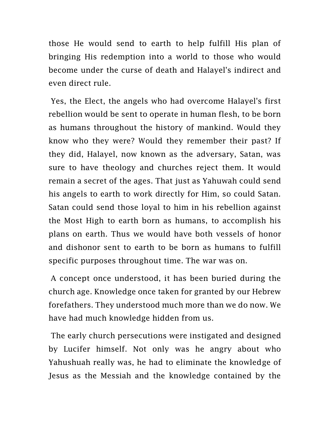those He would send to earth to help fulfill His plan of bringing His redemption into a world to those who would become under the curse of death and Halayel's indirect and even direct rule.

Yes, the Elect, the angels who had overcome Halayel's first rebellion would be sent to operate in human flesh, to be born as humans throughout the history of mankind. Would they know who they were? Would they remember their past? If they did, Halayel, now known as the adversary, Satan, was sure to have theology and churches reject them. It would remain a secret of the ages. That just as Yahuwah could send his angels to earth to work directly for Him, so could Satan. Satan could send those loyal to him in his rebellion against the Most High to earth born as humans, to accomplish his plans on earth. Thus we would have both vessels of honor and dishonor sent to earth to be born as humans to fulfill specific purposes throughout time. The war was on.

A concept once understood, it has been buried during the church age. Knowledge once taken for granted by our Hebrew forefathers. They understood much more than we do now. We have had much knowledge hidden from us.

The early church persecutions were instigated and designed by Lucifer himself. Not only was he angry about who Yahushuah really was, he had to eliminate the knowledge of Jesus as the Messiah and the knowledge contained by the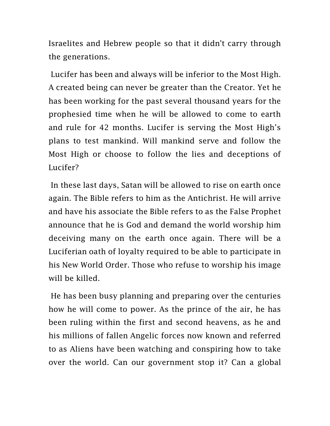Israelites and Hebrew people so that it didn't carry through the generations.

Lucifer has been and always will be inferior to the Most High. A created being can never be greater than the Creator. Yet he has been working for the past several thousand years for the prophesied time when he will be allowed to come to earth and rule for 42 months. Lucifer is serving the Most High's plans to test mankind. Will mankind serve and follow the Most High or choose to follow the lies and deceptions of Lucifer?

In these last days, Satan will be allowed to rise on earth once again. The Bible refers to him as the Antichrist. He will arrive and have his associate the Bible refers to as the False Prophet announce that he is God and demand the world worship him deceiving many on the earth once again. There will be a Luciferian oath of loyalty required to be able to participate in his New World Order. Those who refuse to worship his image will be killed.

He has been busy planning and preparing over the centuries how he will come to power. As the prince of the air, he has been ruling within the first and second heavens, as he and his millions of fallen Angelic forces now known and referred to as Aliens have been watching and conspiring how to take over the world. Can our government stop it? Can a global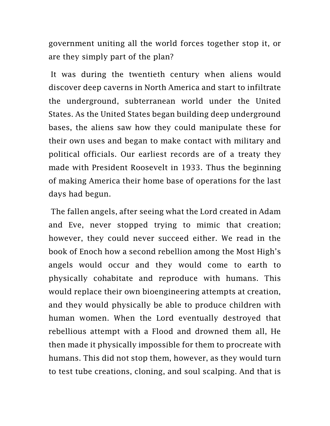government uniting all the world forces together stop it, or are they simply part of the plan?

It was during the twentieth century when aliens would discover deep caverns in North America and start to infiltrate the underground, subterranean world under the United States. As the United States began building deep underground bases, the aliens saw how they could manipulate these for their own uses and began to make contact with military and political officials. Our earliest records are of a treaty they made with President Roosevelt in 1933. Thus the beginning of making America their home base of operations for the last days had begun.

The fallen angels, after seeing what the Lord created in Adam and Eve, never stopped trying to mimic that creation; however, they could never succeed either. We read in the book of Enoch how a second rebellion among the Most High's angels would occur and they would come to earth to physically cohabitate and reproduce with humans. This would replace their own bioengineering attempts at creation, and they would physically be able to produce children with human women. When the Lord eventually destroyed that rebellious attempt with a Flood and drowned them all, He then made it physically impossible for them to procreate with humans. This did not stop them, however, as they would turn to test tube creations, cloning, and soul scalping. And that is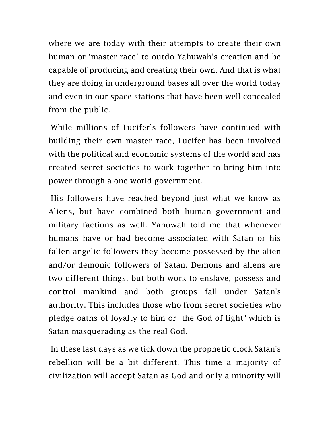where we are today with their attempts to create their own human or 'master race' to outdo Yahuwah's creation and be capable of producing and creating their own. And that is what they are doing in underground bases all over the world today and even in our space stations that have been well concealed from the public.

While millions of Lucifer's followers have continued with building their own master race, Lucifer has been involved with the political and economic systems of the world and has created secret societies to work together to bring him into power through a one world government.

His followers have reached beyond just what we know as Aliens, but have combined both human government and military factions as well. Yahuwah told me that whenever humans have or had become associated with Satan or his fallen angelic followers they become possessed by the alien and/or demonic followers of Satan. Demons and aliens are two different things, but both work to enslave, possess and control mankind and both groups fall under Satan's authority. This includes those who from secret societies who pledge oaths of loyalty to him or "the God of light" which is Satan masquerading as the real God.

In these last days as we tick down the prophetic clock Satan's rebellion will be a bit different. This time a majority of civilization will accept Satan as God and only a minority will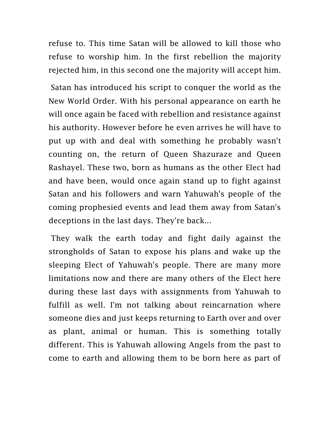refuse to. This time Satan will be allowed to kill those who refuse to worship him. In the first rebellion the majority rejected him, in this second one the majority will accept him.

Satan has introduced his script to conquer the world as the New World Order. With his personal appearance on earth he will once again be faced with rebellion and resistance against his authority. However before he even arrives he will have to put up with and deal with something he probably wasn't counting on, the return of Queen Shazuraze and Queen Rashayel. These two, born as humans as the other Elect had and have been, would once again stand up to fight against Satan and his followers and warn Yahuwah's people of the coming prophesied events and lead them away from Satan's deceptions in the last days. They're back...

They walk the earth today and fight daily against the strongholds of Satan to expose his plans and wake up the sleeping Elect of Yahuwah's people. There are many more limitations now and there are many others of the Elect here during these last days with assignments from Yahuwah to fulfill as well. I'm not talking about reincarnation where someone dies and just keeps returning to Earth over and over as plant, animal or human. This is something totally different. This is Yahuwah allowing Angels from the past to come to earth and allowing them to be born here as part of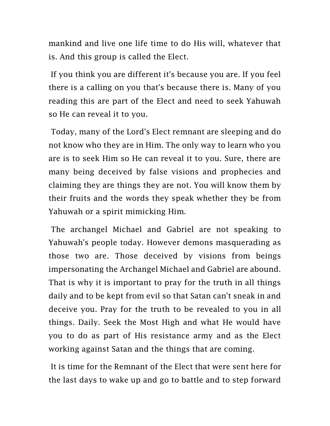mankind and live one life time to do His will, whatever that is. And this group is called the Elect.

If you think you are different it's because you are. If you feel there is a calling on you that's because there is. Many of you reading this are part of the Elect and need to seek Yahuwah so He can reveal it to you.

Today, many of the Lord's Elect remnant are sleeping and do not know who they are in Him. The only way to learn who you are is to seek Him so He can reveal it to you. Sure, there are many being deceived by false visions and prophecies and claiming they are things they are not. You will know them by their fruits and the words they speak whether they be from Yahuwah or a spirit mimicking Him.

The archangel Michael and Gabriel are not speaking to Yahuwah's people today. However demons masquerading as those two are. Those deceived by visions from beings impersonating the Archangel Michael and Gabriel are abound. That is why it is important to pray for the truth in all things daily and to be kept from evil so that Satan can't sneak in and deceive you. Pray for the truth to be revealed to you in all things. Daily. Seek the Most High and what He would have you to do as part of His resistance army and as the Elect working against Satan and the things that are coming.

It is time for the Remnant of the Elect that were sent here for the last days to wake up and go to battle and to step forward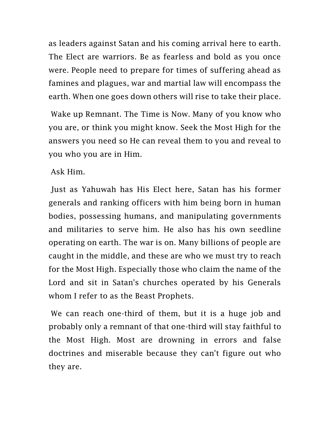as leaders against Satan and his coming arrival here to earth. The Elect are warriors. Be as fearless and bold as you once were. People need to prepare for times of suffering ahead as famines and plagues, war and martial law will encompass the earth. When one goes down others will rise to take their place.

Wake up Remnant. The Time is Now. Many of you know who you are, or think you might know. Seek the Most High for the answers you need so He can reveal them to you and reveal to you who you are in Him.

Ask Him.

Just as Yahuwah has His Elect here, Satan has his former generals and ranking officers with him being born in human bodies, possessing humans, and manipulating governments and militaries to serve him. He also has his own seedline operating on earth. The war is on. Many billions of people are caught in the middle, and these are who we must try to reach for the Most High. Especially those who claim the name of the Lord and sit in Satan's churches operated by his Generals whom I refer to as the Beast Prophets.

We can reach one-third of them, but it is a huge job and probably only a remnant of that one-third will stay faithful to the Most High. Most are drowning in errors and false doctrines and miserable because they can't figure out who they are.